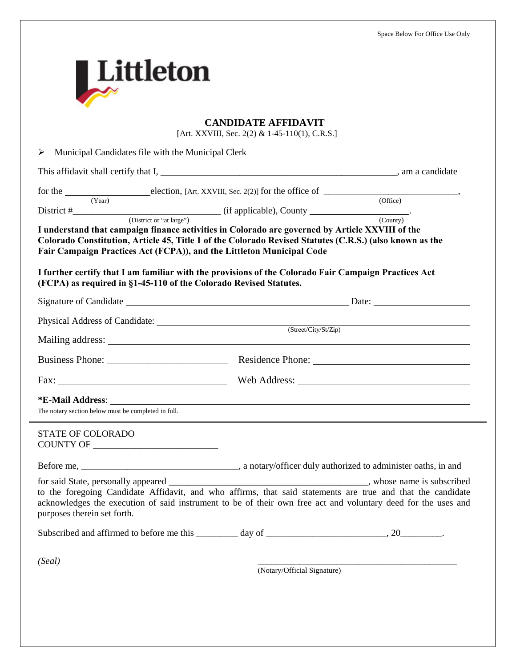| <b>CANDIDATE AFFIDAVIT</b><br>[Art. XXVIII, Sec. 2(2) & 1-45-110(1), C.R.S.]                                                               |                                                                                                                                                                                                                              |
|--------------------------------------------------------------------------------------------------------------------------------------------|------------------------------------------------------------------------------------------------------------------------------------------------------------------------------------------------------------------------------|
| ➤<br>Municipal Candidates file with the Municipal Clerk                                                                                    |                                                                                                                                                                                                                              |
|                                                                                                                                            |                                                                                                                                                                                                                              |
| (Year)                                                                                                                                     | (Office)<br>I understand that campaign finance activities in Colorado are governed by Article XXVIII of the<br>Colorado Constitution, Article 45, Title 1 of the Colorado Revised Statutes (C.R.S.) (also known as the       |
| Fair Campaign Practices Act (FCPA)), and the Littleton Municipal Code<br>(FCPA) as required in §1-45-110 of the Colorado Revised Statutes. | I further certify that I am familiar with the provisions of the Colorado Fair Campaign Practices Act                                                                                                                         |
|                                                                                                                                            |                                                                                                                                                                                                                              |
|                                                                                                                                            | Physical Address of Candidate: (Street/City/St/Zip)                                                                                                                                                                          |
|                                                                                                                                            |                                                                                                                                                                                                                              |
|                                                                                                                                            |                                                                                                                                                                                                                              |
| The notary section below must be completed in full.                                                                                        |                                                                                                                                                                                                                              |
| <b>STATE OF COLORADO</b>                                                                                                                   |                                                                                                                                                                                                                              |
|                                                                                                                                            |                                                                                                                                                                                                                              |
| purposes therein set forth.                                                                                                                | to the foregoing Candidate Affidavit, and who affirms, that said statements are true and that the candidate<br>acknowledges the execution of said instrument to be of their own free act and voluntary deed for the uses and |
|                                                                                                                                            |                                                                                                                                                                                                                              |
|                                                                                                                                            |                                                                                                                                                                                                                              |